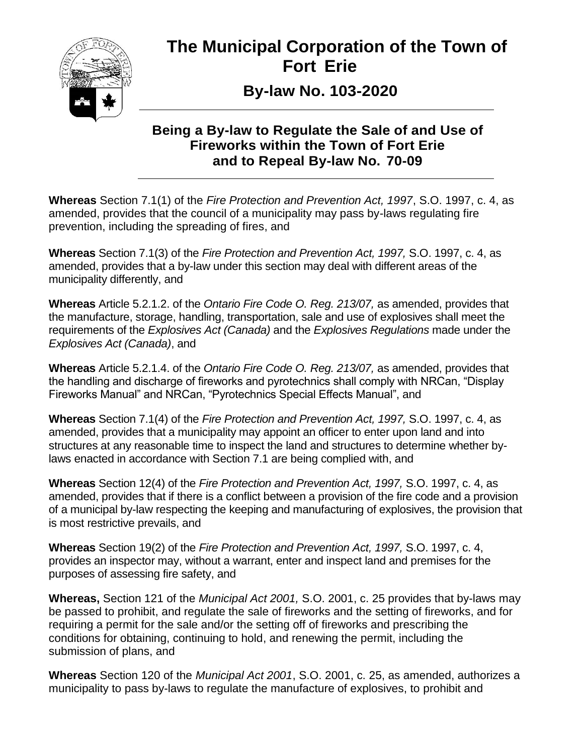

# **The Municipal Corporation of the Town of Fort Erie**

 **By-law No. 103-2020**

## **Being a By-law to Regulate the Sale of and Use of Fireworks within the Town of Fort Erie and to Repeal By-law No. 70-09**

**Whereas** Section 7.1(1) of the *Fire Protection and Prevention Act, 1997*, S.O. 1997, c. 4, as amended, provides that the council of a municipality may pass by-laws regulating fire prevention, including the spreading of fires, and

**Whereas** Section 7.1(3) of the *Fire Protection and Prevention Act, 1997,* S.O. 1997, c. 4, as amended, provides that a by-law under this section may deal with different areas of the municipality differently, and

**Whereas** Article 5.2.1.2. of the *Ontario Fire Code O. Reg. 213/07,* as amended, provides that the manufacture, storage, handling, transportation, sale and use of explosives shall meet the requirements of the *Explosives Act (Canada)* and the *Explosives Regulations* made under the *Explosives Act (Canada)*, and

**Whereas** Article 5.2.1.4. of the *Ontario Fire Code O. Reg. 213/07,* as amended, provides that the handling and discharge of fireworks and pyrotechnics shall comply with NRCan, "Display Fireworks Manual" and NRCan, "Pyrotechnics Special Effects Manual", and

**Whereas** Section 7.1(4) of the *Fire Protection and Prevention Act, 1997,* S.O. 1997, c. 4, as amended, provides that a municipality may appoint an officer to enter upon land and into structures at any reasonable time to inspect the land and structures to determine whether bylaws enacted in accordance with Section 7.1 are being complied with, and

**Whereas** Section 12(4) of the *Fire Protection and Prevention Act, 1997,* S.O. 1997, c. 4, as amended, provides that if there is a conflict between a provision of the fire code and a provision of a municipal by-law respecting the keeping and manufacturing of explosives, the provision that is most restrictive prevails, and

**Whereas** Section 19(2) of the *Fire Protection and Prevention Act, 1997,* S.O. 1997, c. 4, provides an inspector may, without a warrant, enter and inspect land and premises for the purposes of assessing fire safety, and

**Whereas,** Section 121 of the *Municipal Act 2001,* S.O. 2001, c. 25 provides that by-laws may be passed to prohibit, and regulate the sale of fireworks and the setting of fireworks, and for requiring a permit for the sale and/or the setting off of fireworks and prescribing the conditions for obtaining, continuing to hold, and renewing the permit, including the submission of plans, and

**Whereas** Section 120 of the *Municipal Act 2001*, S.O. 2001, c. 25, as amended, authorizes a municipality to pass by-laws to regulate the manufacture of explosives, to prohibit and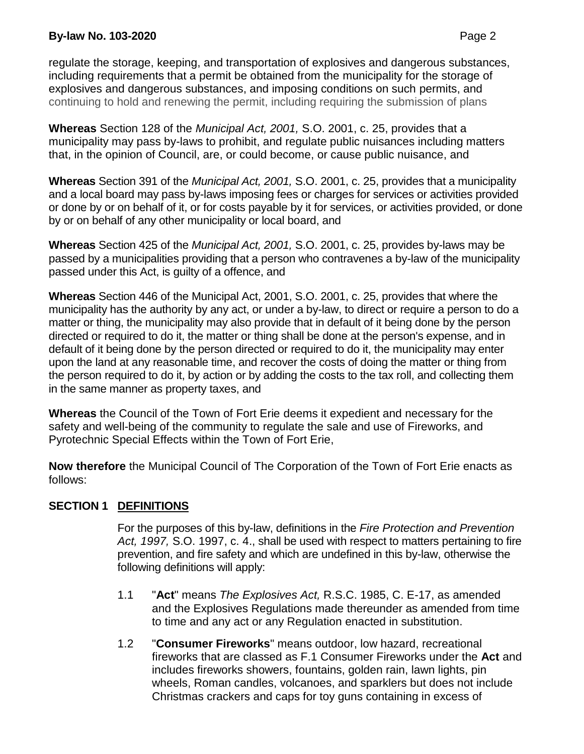regulate the storage, keeping, and transportation of explosives and dangerous substances, including requirements that a permit be obtained from the municipality for the storage of explosives and dangerous substances, and imposing conditions on such permits, and continuing to hold and renewing the permit, including requiring the submission of plans

**Whereas** Section 128 of the *Municipal Act, 2001,* S.O. 2001, c. 25, provides that a municipality may pass by-laws to prohibit, and regulate public nuisances including matters that, in the opinion of Council, are, or could become, or cause public nuisance, and

**Whereas** Section 391 of the *Municipal Act, 2001,* S.O. 2001, c. 25, provides that a municipality and a local board may pass by-laws imposing fees or charges for services or activities provided or done by or on behalf of it, or for costs payable by it for services, or activities provided, or done by or on behalf of any other municipality or local board, and

**Whereas** Section 425 of the *Municipal Act, 2001,* S.O. 2001, c. 25, provides by-laws may be passed by a municipalities providing that a person who contravenes a by-law of the municipality passed under this Act, is guilty of a offence, and

**Whereas** Section 446 of the Municipal Act, 2001, S.O. 2001, c. 25, provides that where the municipality has the authority by any act, or under a by-law, to direct or require a person to do a matter or thing, the municipality may also provide that in default of it being done by the person directed or required to do it, the matter or thing shall be done at the person's expense, and in default of it being done by the person directed or required to do it, the municipality may enter upon the land at any reasonable time, and recover the costs of doing the matter or thing from the person required to do it, by action or by adding the costs to the tax roll, and collecting them in the same manner as property taxes, and

**Whereas** the Council of the Town of Fort Erie deems it expedient and necessary for the safety and well-being of the community to regulate the sale and use of Fireworks, and Pyrotechnic Special Effects within the Town of Fort Erie,

**Now therefore** the Municipal Council of The Corporation of the Town of Fort Erie enacts as follows:

## **SECTION 1 DEFINITIONS**

For the purposes of this by-law, definitions in the *Fire Protection and Prevention Act, 1997,* S.O. 1997, c. 4., shall be used with respect to matters pertaining to fire prevention, and fire safety and which are undefined in this by-law, otherwise the following definitions will apply:

- 1.1 "**Act**" means *The Explosives Act,* R.S.C. 1985, C. E-17, as amended and the Explosives Regulations made thereunder as amended from time to time and any act or any Regulation enacted in substitution.
- 1.2 "**Consumer Fireworks**" means outdoor, low hazard, recreational fireworks that are classed as F.1 Consumer Fireworks under the **Act** and includes fireworks showers, fountains, golden rain, lawn lights, pin wheels, Roman candles, volcanoes, and sparklers but does not include Christmas crackers and caps for toy guns containing in excess of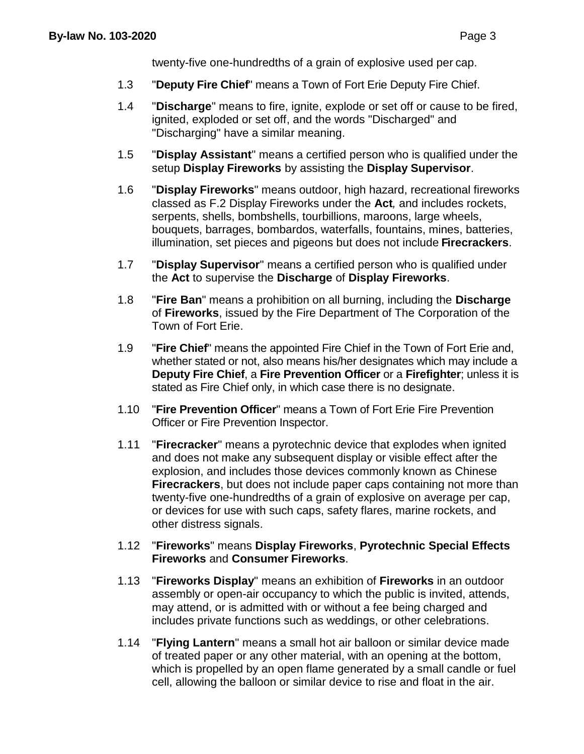twenty-five one-hundredths of a grain of explosive used per cap.

- 1.3 "**Deputy Fire Chief**" means a Town of Fort Erie Deputy Fire Chief.
- 1.4 "**Discharge**" means to fire, ignite, explode or set off or cause to be fired, ignited, exploded or set off, and the words "Discharged" and "Discharging" have a similar meaning.
- 1.5 "**Display Assistant**" means a certified person who is qualified under the setup **Display Fireworks** by assisting the **Display Supervisor**.
- 1.6 "**Display Fireworks**" means outdoor, high hazard, recreational fireworks classed as F.2 Display Fireworks under the **Act***,* and includes rockets, serpents, shells, bombshells, tourbillions, maroons, large wheels, bouquets, barrages, bombardos, waterfalls, fountains, mines, batteries, illumination, set pieces and pigeons but does not include **Firecrackers**.
- 1.7 "**Display Supervisor**" means a certified person who is qualified under the **Act** to supervise the **Discharge** of **Display Fireworks**.
- 1.8 "**Fire Ban**" means a prohibition on all burning, including the **Discharge** of **Fireworks**, issued by the Fire Department of The Corporation of the Town of Fort Erie.
- 1.9 "**Fire Chief**" means the appointed Fire Chief in the Town of Fort Erie and, whether stated or not, also means his/her designates which may include a **Deputy Fire Chief**, a **Fire Prevention Officer** or a **Firefighter**; unless it is stated as Fire Chief only, in which case there is no designate.
- 1.10 "**Fire Prevention Officer**" means a Town of Fort Erie Fire Prevention Officer or Fire Prevention Inspector.
- 1.11 "**Firecracker**" means a pyrotechnic device that explodes when ignited and does not make any subsequent display or visible effect after the explosion, and includes those devices commonly known as Chinese **Firecrackers**, but does not include paper caps containing not more than twenty-five one-hundredths of a grain of explosive on average per cap, or devices for use with such caps, safety flares, marine rockets, and other distress signals.
- 1.12 "**Fireworks**" means **Display Fireworks**, **Pyrotechnic Special Effects Fireworks** and **Consumer Fireworks**.
- 1.13 "**Fireworks Display**" means an exhibition of **Fireworks** in an outdoor assembly or open-air occupancy to which the public is invited, attends, may attend, or is admitted with or without a fee being charged and includes private functions such as weddings, or other celebrations.
- 1.14 "**Flying Lantern**" means a small hot air balloon or similar device made of treated paper or any other material, with an opening at the bottom, which is propelled by an open flame generated by a small candle or fuel cell, allowing the balloon or similar device to rise and float in the air.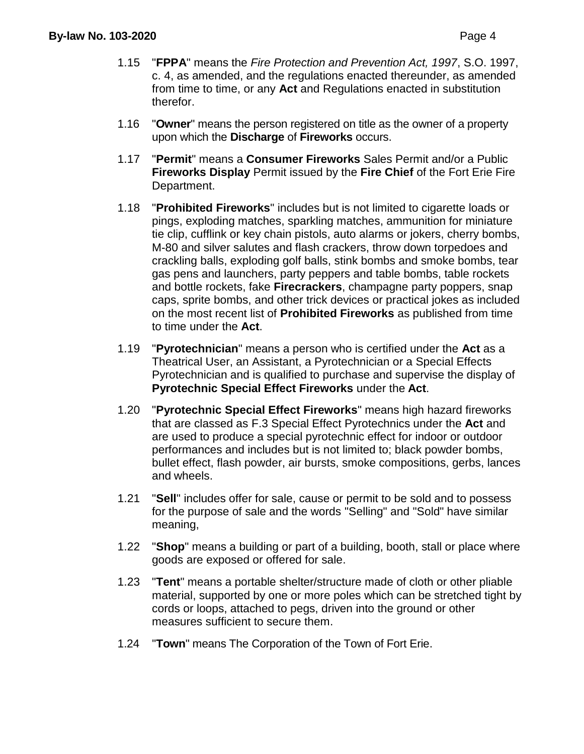- 1.15 "**FPPA**" means the *Fire Protection and Prevention Act, 1997*, S.O. 1997, c. 4, as amended, and the regulations enacted thereunder, as amended from time to time, or any **Act** and Regulations enacted in substitution therefor.
- 1.16 "**Owner**" means the person registered on title as the owner of a property upon which the **Discharge** of **Fireworks** occurs.
- 1.17 "**Permit**" means a **Consumer Fireworks** Sales Permit and/or a Public **Fireworks Display** Permit issued by the **Fire Chief** of the Fort Erie Fire Department.
- 1.18 "**Prohibited Fireworks**" includes but is not limited to cigarette loads or pings, exploding matches, sparkling matches, ammunition for miniature tie clip, cufflink or key chain pistols, auto alarms or jokers, cherry bombs, M-80 and silver salutes and flash crackers, throw down torpedoes and crackling balls, exploding golf balls, stink bombs and smoke bombs, tear gas pens and launchers, party peppers and table bombs, table rockets and bottle rockets, fake **Firecrackers**, champagne party poppers, snap caps, sprite bombs, and other trick devices or practical jokes as included on the most recent list of **Prohibited Fireworks** as published from time to time under the **Act**.
- 1.19 "**Pyrotechnician**" means a person who is certified under the **Act** as a Theatrical User, an Assistant, a Pyrotechnician or a Special Effects Pyrotechnician and is qualified to purchase and supervise the display of **Pyrotechnic Special Effect Fireworks** under the **Act**.
- 1.20 "**Pyrotechnic Special Effect Fireworks**" means high hazard fireworks that are classed as F.3 Special Effect Pyrotechnics under the **Act** and are used to produce a special pyrotechnic effect for indoor or outdoor performances and includes but is not limited to; black powder bombs, bullet effect, flash powder, air bursts, smoke compositions, gerbs, lances and wheels.
- 1.21 "**Sell**" includes offer for sale, cause or permit to be sold and to possess for the purpose of sale and the words "Selling" and "Sold" have similar meaning,
- 1.22 "**Shop**" means a building or part of a building, booth, stall or place where goods are exposed or offered for sale.
- 1.23 "**Tent**" means a portable shelter/structure made of cloth or other pliable material, supported by one or more poles which can be stretched tight by cords or loops, attached to pegs, driven into the ground or other measures sufficient to secure them.
- 1.24 ''**Town**" means The Corporation of the Town of Fort Erie.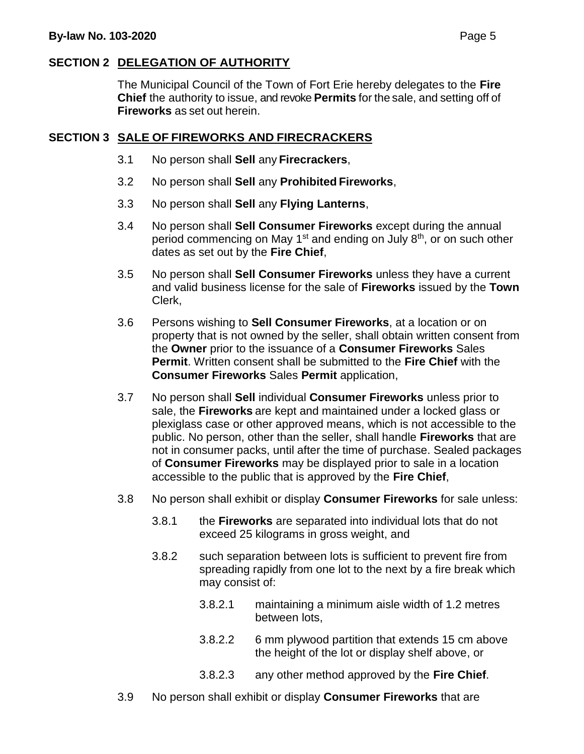## **SECTION 2 DELEGATION OF AUTHORITY**

The Municipal Council of the Town of Fort Erie hereby delegates to the **Fire Chief** the authority to issue, and revoke **Permits** for the sale, and setting off of **Fireworks** as set out herein.

#### **SECTION 3 SALE OF FIREWORKS AND FIRECRACKERS**

- 3.1 No person shall **Sell** any **Firecrackers**,
- 3.2 No person shall **Sell** any **Prohibited Fireworks**,
- 3.3 No person shall **Sell** any **Flying Lanterns**,
- 3.4 No person shall **Sell Consumer Fireworks** except during the annual period commencing on May 1<sup>st</sup> and ending on July 8<sup>th</sup>, or on such other dates as set out by the **Fire Chief**,
- 3.5 No person shall **Sell Consumer Fireworks** unless they have a current and valid business license for the sale of **Fireworks** issued by the **Town** Clerk,
- 3.6 Persons wishing to **Sell Consumer Fireworks**, at a location or on property that is not owned by the seller, shall obtain written consent from the **Owner** prior to the issuance of a **Consumer Fireworks** Sales **Permit**. Written consent shall be submitted to the **Fire Chief** with the **Consumer Fireworks** Sales **Permit** application,
- 3.7 No person shall **Sell** individual **Consumer Fireworks** unless prior to sale, the **Fireworks** are kept and maintained under a locked glass or plexiglass case or other approved means, which is not accessible to the public. No person, other than the seller, shall handle **Fireworks** that are not in consumer packs, until after the time of purchase. Sealed packages of **Consumer Fireworks** may be displayed prior to sale in a location accessible to the public that is approved by the **Fire Chief**,
- 3.8 No person shall exhibit or display **Consumer Fireworks** for sale unless:
	- 3.8.1 the **Fireworks** are separated into individual lots that do not exceed 25 kilograms in gross weight, and
	- 3.8.2 such separation between lots is sufficient to prevent fire from spreading rapidly from one lot to the next by a fire break which may consist of:
		- 3.8.2.1 maintaining a minimum aisle width of 1.2 metres between lots,
		- 3.8.2.2 6 mm plywood partition that extends 15 cm above the height of the lot or display shelf above, or
		- 3.8.2.3 any other method approved by the **Fire Chief**.
- 3.9 No person shall exhibit or display **Consumer Fireworks** that are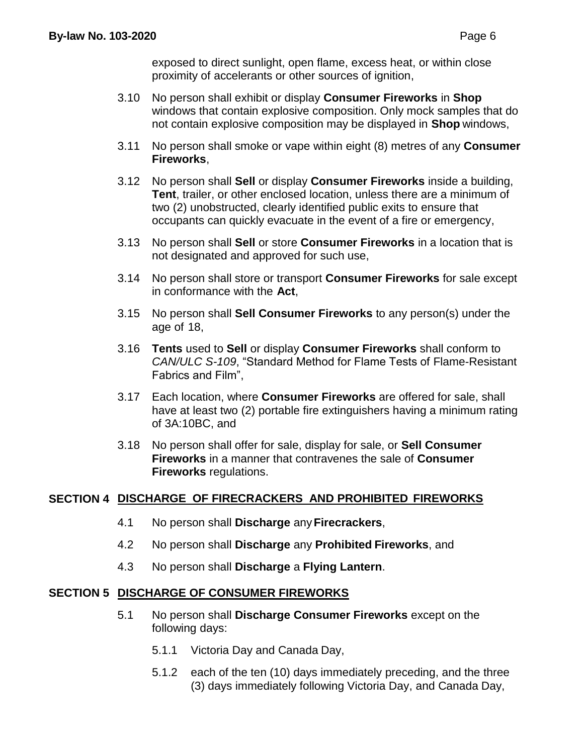exposed to direct sunlight, open flame, excess heat, or within close proximity of accelerants or other sources of ignition,

- 3.10 No person shall exhibit or display **Consumer Fireworks** in **Shop** windows that contain explosive composition. Only mock samples that do not contain explosive composition may be displayed in **Shop** windows,
- 3.11 No person shall smoke or vape within eight (8) metres of any **Consumer Fireworks**,
- 3.12 No person shall **Sell** or display **Consumer Fireworks** inside a building, **Tent**, trailer, or other enclosed location, unless there are a minimum of two (2) unobstructed, clearly identified public exits to ensure that occupants can quickly evacuate in the event of a fire or emergency,
- 3.13 No person shall **Sell** or store **Consumer Fireworks** in a location that is not designated and approved for such use,
- 3.14 No person shall store or transport **Consumer Fireworks** for sale except in conformance with the **Act**,
- 3.15 No person shall **Sell Consumer Fireworks** to any person(s) under the age of 18,
- 3.16 **Tents** used to **Sell** or display **Consumer Fireworks** shall conform to *CAN/ULC S-109*, "Standard Method for Flame Tests of Flame-Resistant Fabrics and Film",
- 3.17 Each location, where **Consumer Fireworks** are offered for sale, shall have at least two (2) portable fire extinguishers having a minimum rating of 3A:10BC, and
- 3.18 No person shall offer for sale, display for sale, or **Sell Consumer Fireworks** in a manner that contravenes the sale of **Consumer Fireworks** regulations.

## **SECTION 4 DISCHARGE OF FIRECRACKERS AND PROHIBITED FIREWORKS**

- 4.1 No person shall **Discharge** any**Firecrackers**,
- 4.2 No person shall **Discharge** any **Prohibited Fireworks**, and
- 4.3 No person shall **Discharge** a **Flying Lantern**.

#### **SECTION 5 DISCHARGE OF CONSUMER FIREWORKS**

- 5.1 No person shall **Discharge Consumer Fireworks** except on the following days:
	- 5.1.1 Victoria Day and Canada Day,
	- 5.1.2 each of the ten (10) days immediately preceding, and the three (3) days immediately following Victoria Day, and Canada Day,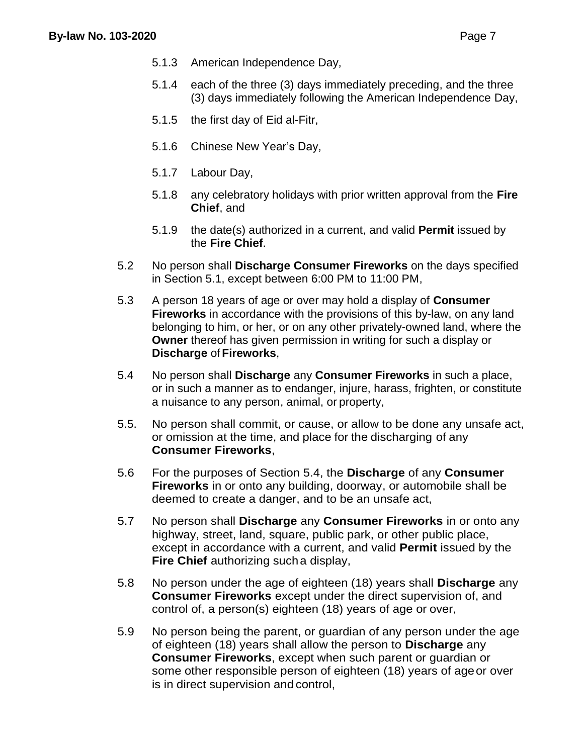- 5.1.3 American Independence Day,
- 5.1.4 each of the three (3) days immediately preceding, and the three (3) days immediately following the American Independence Day,
- 5.1.5 the first day of Eid al-Fitr,
- 5.1.6 Chinese New Year's Day,
- 5.1.7 Labour Day,
- 5.1.8 any celebratory holidays with prior written approval from the **Fire Chief**, and
- 5.1.9 the date(s) authorized in a current, and valid **Permit** issued by the **Fire Chief**.
- 5.2 No person shall **Discharge Consumer Fireworks** on the days specified in Section 5.1, except between 6:00 PM to 11:00 PM,
- 5.3 A person 18 years of age or over may hold a display of **Consumer Fireworks** in accordance with the provisions of this by-law, on any land belonging to him, or her, or on any other privately-owned land, where the **Owner** thereof has given permission in writing for such a display or **Discharge** of **Fireworks**,
- 5.4 No person shall **Discharge** any **Consumer Fireworks** in such a place, or in such a manner as to endanger, injure, harass, frighten, or constitute a nuisance to any person, animal, or property,
- 5.5. No person shall commit, or cause, or allow to be done any unsafe act, or omission at the time, and place for the discharging of any **Consumer Fireworks**,
- 5.6 For the purposes of Section 5.4, the **Discharge** of any **Consumer Fireworks** in or onto any building, doorway, or automobile shall be deemed to create a danger, and to be an unsafe act,
- 5.7 No person shall **Discharge** any **Consumer Fireworks** in or onto any highway, street, land, square, public park, or other public place, except in accordance with a current, and valid **Permit** issued by the **Fire Chief** authorizing sucha display,
- 5.8 No person under the age of eighteen (18) years shall **Discharge** any **Consumer Fireworks** except under the direct supervision of, and control of, a person(s) eighteen (18) years of age or over,
- 5.9 No person being the parent, or guardian of any person under the age of eighteen (18) years shall allow the person to **Discharge** any **Consumer Fireworks**, except when such parent or guardian or some other responsible person of eighteen (18) years of ageor over is in direct supervision and control,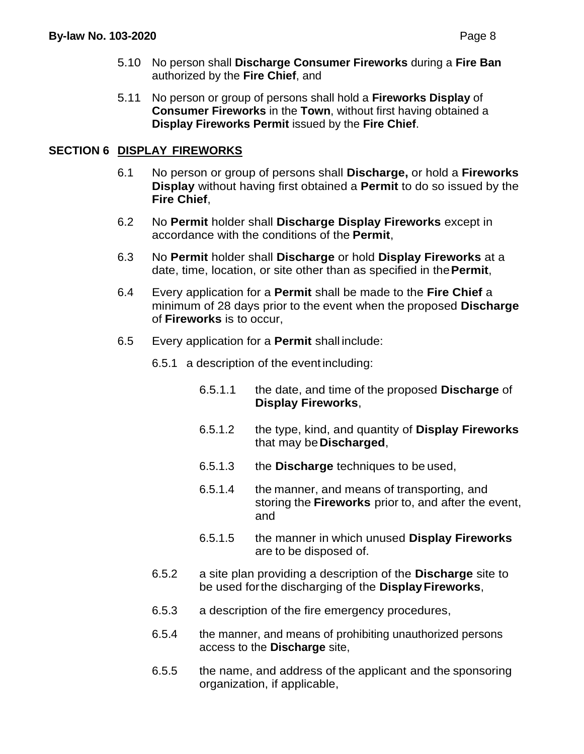5.11 No person or group of persons shall hold a **Fireworks Display** of **Consumer Fireworks** in the **Town**, without first having obtained a **Display Fireworks Permit** issued by the **Fire Chief**.

## **SECTION 6 DISPLAY FIREWORKS**

- 6.1 No person or group of persons shall **Discharge,** or hold a **Fireworks Display** without having first obtained a **Permit** to do so issued by the **Fire Chief**,
- 6.2 No **Permit** holder shall **Discharge Display Fireworks** except in accordance with the conditions of the **Permit**,
- 6.3 No **Permit** holder shall **Discharge** or hold **Display Fireworks** at a date, time, location, or site other than as specified in the**Permit**,
- 6.4 Every application for a **Permit** shall be made to the **Fire Chief** a minimum of 28 days prior to the event when the proposed **Discharge** of **Fireworks** is to occur,
- 6.5 Every application for a **Permit** shall include:

6.5.1 a description of the event including:

- 6.5.1.1 the date, and time of the proposed **Discharge** of **Display Fireworks**,
- 6.5.1.2 the type, kind, and quantity of **Display Fireworks** that may be**Discharged**,
- 6.5.1.3 the **Discharge** techniques to be used,
- 6.5.1.4 the manner, and means of transporting, and storing the **Fireworks** prior to, and after the event, and
- 6.5.1.5 the manner in which unused **Display Fireworks** are to be disposed of.
- 6.5.2 a site plan providing a description of the **Discharge** site to be used forthe discharging of the **DisplayFireworks**,
- 6.5.3 a description of the fire emergency procedures,
- 6.5.4 the manner, and means of prohibiting unauthorized persons access to the **Discharge** site,
- 6.5.5 the name, and address of the applicant and the sponsoring organization, if applicable,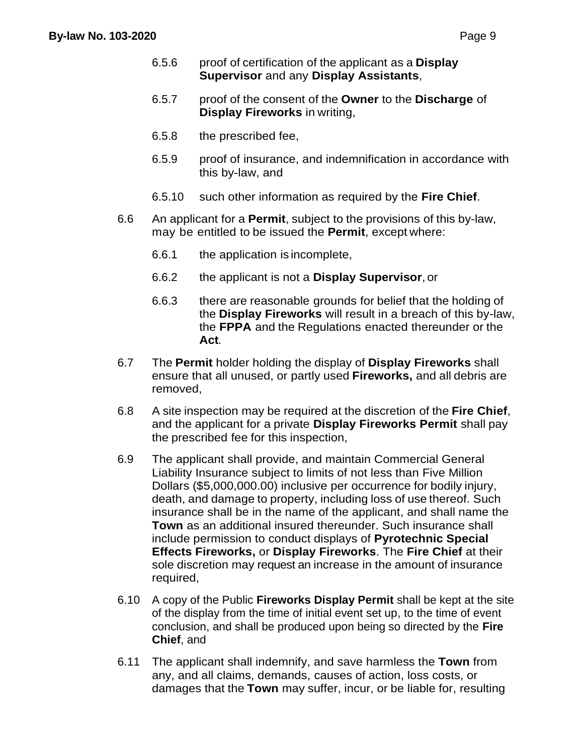- 6.5.6 proof of certification of the applicant as a **Display Supervisor** and any **Display Assistants**,
- 6.5.7 proof of the consent of the **Owner** to the **Discharge** of **Display Fireworks** in writing,
- 6.5.8 the prescribed fee,
- 6.5.9 proof of insurance, and indemnification in accordance with this by-law, and
- 6.5.10 such other information as required by the **Fire Chief**.
- 6.6 An applicant for a **Permit**, subject to the provisions of this by-law, may be entitled to be issued the **Permit**, except where:
	- 6.6.1 the application is incomplete,
	- 6.6.2 the applicant is not a **Display Supervisor**, or
	- 6.6.3 there are reasonable grounds for belief that the holding of the **Display Fireworks** will result in a breach of this by-law, the **FPPA** and the Regulations enacted thereunder or the **Act***.*
- 6.7 The **Permit** holder holding the display of **Display Fireworks** shall ensure that all unused, or partly used **Fireworks,** and all debris are removed,
- 6.8 A site inspection may be required at the discretion of the **Fire Chief**, and the applicant for a private **Display Fireworks Permit** shall pay the prescribed fee for this inspection,
- 6.9 The applicant shall provide, and maintain Commercial General Liability Insurance subject to limits of not less than Five Million Dollars (\$5,000,000.00) inclusive per occurrence for bodily injury, death, and damage to property, including loss of use thereof. Such insurance shall be in the name of the applicant, and shall name the **Town** as an additional insured thereunder. Such insurance shall include permission to conduct displays of **Pyrotechnic Special Effects Fireworks,** or **Display Fireworks**. The **Fire Chief** at their sole discretion may request an increase in the amount of insurance required,
- 6.10 A copy of the Public **Fireworks Display Permit** shall be kept at the site of the display from the time of initial event set up, to the time of event conclusion, and shall be produced upon being so directed by the **Fire Chief**, and
- 6.11 The applicant shall indemnify, and save harmless the **Town** from any, and all claims, demands, causes of action, loss costs, or damages that the **Town** may suffer, incur, or be liable for, resulting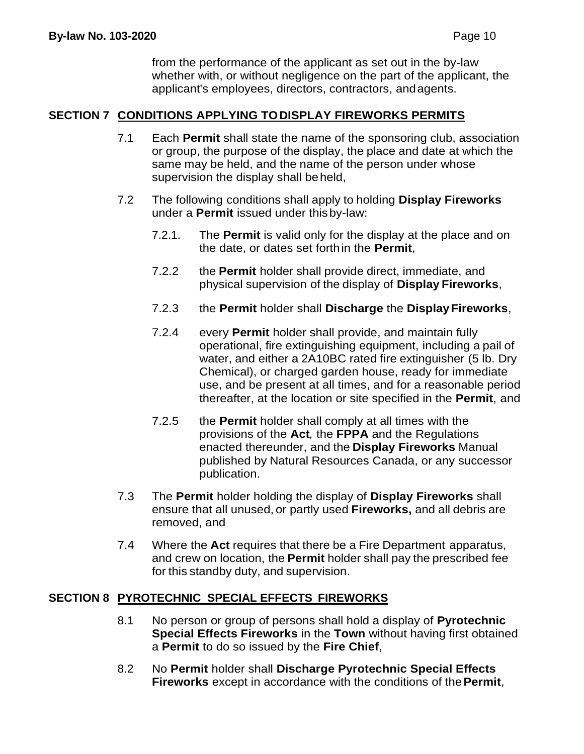from the performance of the applicant as set out in the by-law whether with, or without negligence on the part of the applicant, the applicant's employees, directors, contractors, andagents.

#### **SECTION 7 CONDITIONS APPLYING TODISPLAY FIREWORKS PERMITS**

- 7.1 Each **Permit** shall state the name of the sponsoring club, association or group, the purpose of the display, the place and date at which the same may be held, and the name of the person under whose supervision the display shall beheld,
- 7.2 The following conditions shall apply to holding **Display Fireworks** under a **Permit** issued under thisby-law:
	- 7.2.1. The **Permit** is valid only for the display at the place and on the date, or dates set forthin the **Permit**,
	- 7.2.2 the **Permit** holder shall provide direct, immediate, and physical supervision of the display of **Display Fireworks**,
	- 7.2.3 the **Permit** holder shall **Discharge** the **DisplayFireworks**,
	- 7.2.4 every **Permit** holder shall provide, and maintain fully operational, fire extinguishing equipment, including a pail of water, and either a 2A10BC rated fire extinguisher (5 lb. Dry Chemical), or charged garden house, ready for immediate use, and be present at all times, and for a reasonable period thereafter, at the location or site specified in the **Permit**, and
	- 7.2.5 the **Permit** holder shall comply at all times with the provisions of the **Act***,* the **FPPA** and the Regulations enacted thereunder, and the **Display Fireworks** Manual published by Natural Resources Canada, or any successor publication.
- 7.3 The **Permit** holder holding the display of **Display Fireworks** shall ensure that all unused, or partly used **Fireworks,** and all debris are removed, and
- 7.4 Where the **Act** requires that there be a Fire Department apparatus, and crew on location, the **Permit** holder shall pay the prescribed fee for this standby duty, and supervision.

#### **SECTION 8 PYROTECHNIC SPECIAL EFFECTS FIREWORKS**

- 8.1 No person or group of persons shall hold a display of **Pyrotechnic Special Effects Fireworks** in the **Town** without having first obtained a **Permit** to do so issued by the **Fire Chief**,
- 8.2 No **Permit** holder shall **Discharge Pyrotechnic Special Effects Fireworks** except in accordance with the conditions of the**Permit**,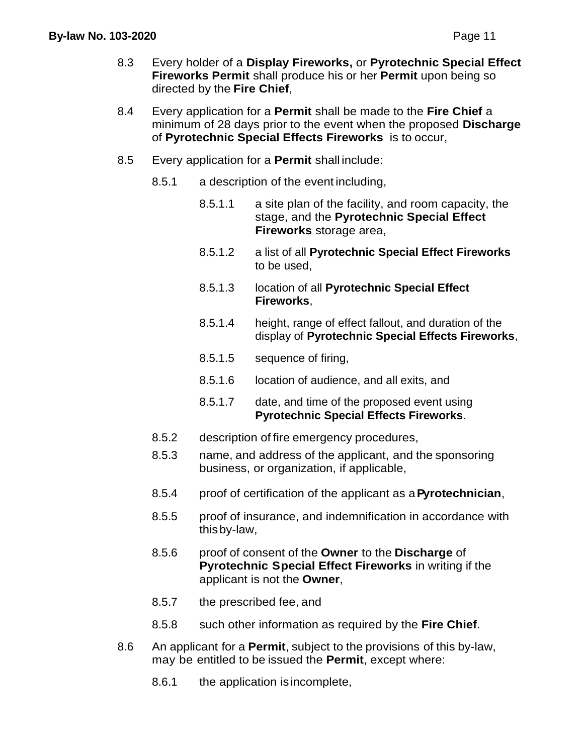- 8.3 Every holder of a **Display Fireworks,** or **Pyrotechnic Special Effect Fireworks Permit** shall produce his or her **Permit** upon being so directed by the **Fire Chief**,
- 8.4 Every application for a **Permit** shall be made to the **Fire Chief** a minimum of 28 days prior to the event when the proposed **Discharge** of **Pyrotechnic Special Effects Fireworks** is to occur,
- 8.5 Every application for a **Permit** shall include:
	- 8.5.1 a description of the event including,
		- 8.5.1.1 a site plan of the facility, and room capacity, the stage, and the **Pyrotechnic Special Effect Fireworks** storage area,
		- 8.5.1.2 a list of all **Pyrotechnic Special Effect Fireworks** to be used,
		- 8.5.1.3 location of all **Pyrotechnic Special Effect Fireworks**,
		- 8.5.1.4 height, range of effect fallout, and duration of the display of **Pyrotechnic Special Effects Fireworks**,
		- 8.5.1.5 sequence of firing,
		- 8.5.1.6 location of audience, and all exits, and
		- 8.5.1.7 date, and time of the proposed event using **Pyrotechnic Special Effects Fireworks**.
	- 8.5.2 description of fire emergency procedures,
	- 8.5.3 name, and address of the applicant, and the sponsoring business, or organization, if applicable,
	- 8.5.4 proof of certification of the applicant as a**Pyrotechnician**,
	- 8.5.5 proof of insurance, and indemnification in accordance with thisby-law,
	- 8.5.6 proof of consent of the **Owner** to the **Discharge** of **Pyrotechnic Special Effect Fireworks** in writing if the applicant is not the **Owner**,
	- 8.5.7 the prescribed fee, and
	- 8.5.8 such other information as required by the **Fire Chief**.
- 8.6 An applicant for a **Permit**, subject to the provisions of this by-law, may be entitled to be issued the **Permit**, except where:
	- 8.6.1 the application is incomplete,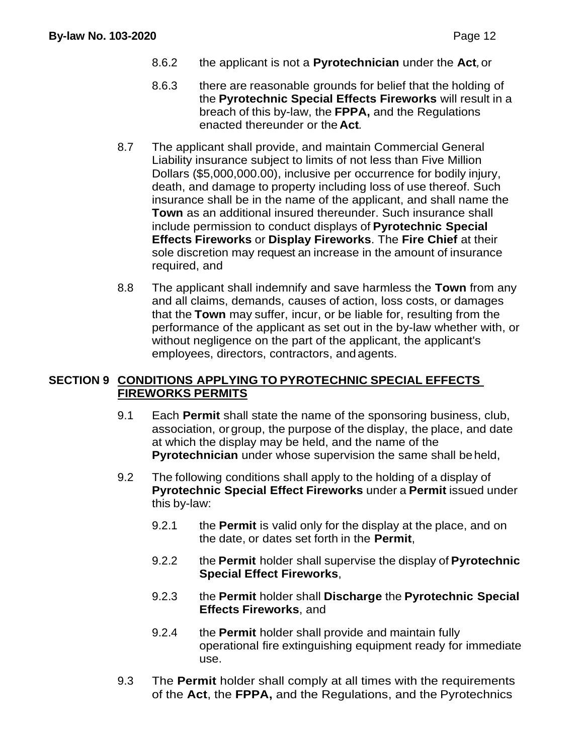- 8.6.2 the applicant is not a **Pyrotechnician** under the **Act***,*or
- 8.6.3 there are reasonable grounds for belief that the holding of the **Pyrotechnic Special Effects Fireworks** will result in a breach of this by-law, the **FPPA,** and the Regulations enacted thereunder or the **Act***.*
- 8.7 The applicant shall provide, and maintain Commercial General Liability insurance subject to limits of not less than Five Million Dollars (\$5,000,000.00), inclusive per occurrence for bodily injury, death, and damage to property including loss of use thereof. Such insurance shall be in the name of the applicant, and shall name the **Town** as an additional insured thereunder. Such insurance shall include permission to conduct displays of **Pyrotechnic Special Effects Fireworks** or **Display Fireworks**. The **Fire Chief** at their sole discretion may request an increase in the amount of insurance required, and
- 8.8 The applicant shall indemnify and save harmless the **Town** from any and all claims, demands, causes of action, loss costs, or damages that the **Town** may suffer, incur, or be liable for, resulting from the performance of the applicant as set out in the by-law whether with, or without negligence on the part of the applicant, the applicant's employees, directors, contractors, andagents.

## **SECTION 9 CONDITIONS APPLYING TO PYROTECHNIC SPECIAL EFFECTS FIREWORKS PERMITS**

- 9.1 Each **Permit** shall state the name of the sponsoring business, club, association, orgroup, the purpose of the display, the place, and date at which the display may be held, and the name of the **Pyrotechnician** under whose supervision the same shall beheld,
- 9.2 The following conditions shall apply to the holding of a display of **Pyrotechnic Special Effect Fireworks** under a **Permit** issued under this by-law:
	- 9.2.1 the **Permit** is valid only for the display at the place, and on the date, or dates set forth in the **Permit**,
	- 9.2.2 the **Permit** holder shall supervise the display of **Pyrotechnic Special Effect Fireworks**,
	- 9.2.3 the **Permit** holder shall **Discharge** the **Pyrotechnic Special Effects Fireworks**, and
	- 9.2.4 the **Permit** holder shall provide and maintain fully operational fire extinguishing equipment ready for immediate use.
- 9.3 The **Permit** holder shall comply at all times with the requirements of the **Act**, the **FPPA,** and the Regulations, and the Pyrotechnics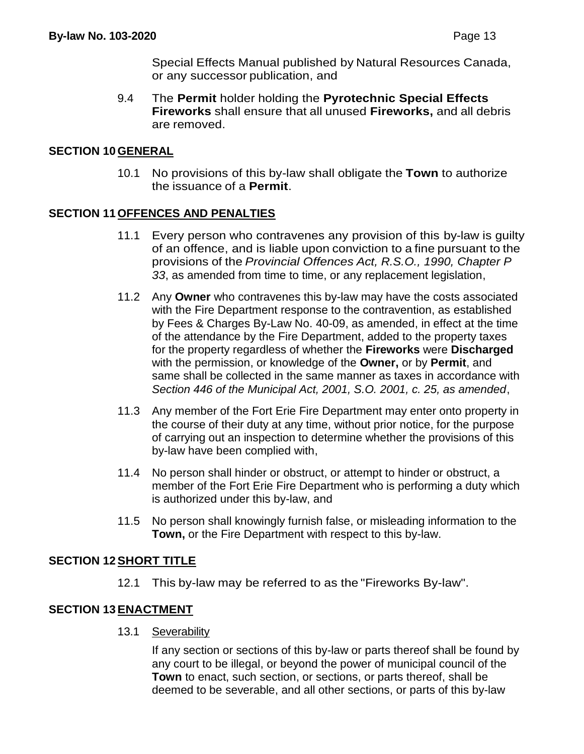Special Effects Manual published by Natural Resources Canada, or any successor publication, and

9.4 The **Permit** holder holding the **Pyrotechnic Special Effects Fireworks** shall ensure that all unused **Fireworks,** and all debris are removed.

#### **SECTION 10 GENERAL**

10.1 No provisions of this by-law shall obligate the **Town** to authorize the issuance of a **Permit**.

#### **SECTION 11 OFFENCES AND PENALTIES**

- 11.1 Every person who contravenes any provision of this by-law is guilty of an offence, and is liable upon conviction to a fine pursuant to the provisions of the *Provincial Offences Act, R.S.O., 1990, Chapter P 33*, as amended from time to time, or any replacement legislation,
- 11.2 Any **Owner** who contravenes this by-law may have the costs associated with the Fire Department response to the contravention, as established by Fees & Charges By-Law No. 40-09, as amended, in effect at the time of the attendance by the Fire Department, added to the property taxes for the property regardless of whether the **Fireworks** were **Discharged** with the permission, or knowledge of the **Owner,** or by **Permit**, and same shall be collected in the same manner as taxes in accordance with *Section 446 of the Municipal Act, 2001, S.O. 2001, c. 25, as amended*,
- 11.3 Any member of the Fort Erie Fire Department may enter onto property in the course of their duty at any time, without prior notice, for the purpose of carrying out an inspection to determine whether the provisions of this by-law have been complied with,
- 11.4 No person shall hinder or obstruct, or attempt to hinder or obstruct, a member of the Fort Erie Fire Department who is performing a duty which is authorized under this by-law, and
- 11.5 No person shall knowingly furnish false, or misleading information to the **Town,** or the Fire Department with respect to this by-law.

#### **SECTION 12SHORT TITLE**

12.1 This by-law may be referred to as the "Fireworks By-law".

#### **SECTION 13ENACTMENT**

13.1 Severability

If any section or sections of this by-law or parts thereof shall be found by any court to be illegal, or beyond the power of municipal council of the **Town** to enact, such section, or sections, or parts thereof, shall be deemed to be severable, and all other sections, or parts of this by-law